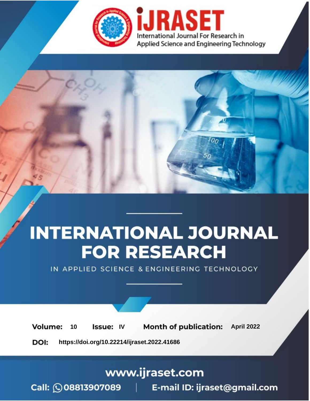

# **INTERNATIONAL JOURNAL FOR RESEARCH**

IN APPLIED SCIENCE & ENGINEERING TECHNOLOGY

10 **Issue: IV Month of publication:** April 2022 **Volume:** 

**https://doi.org/10.22214/ijraset.2022.41686**DOI:

www.ijraset.com

Call: 008813907089 | E-mail ID: ijraset@gmail.com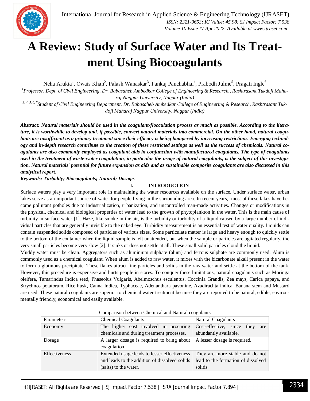

### **A Review: Study of Surface Water and Its Treatment Using Biocoagulants**

Neha Arukia<sup>1</sup>, Owais Khan<sup>2</sup>, Palash Wanaskar<sup>3</sup>, Pankaj Panchabhai<sup>4</sup>, Prabodh Julme<sup>5</sup>, Pragati Ingle<sup>6</sup>

*<sup>1</sup>Professor, Dept. of Civil Engineering, Dr. Babasaheb Ambedkar College of Engineering & Research., Rashtrasant Tukdoji Maharaj Nagpur University, Nagpur (India)*

*3, 4, 5, 6, 7Student of Civil Engineering Department, Dr. Babasaheb Ambedkar College of Engineering & Research, Rashtrasant Tukdoji Maharaj Nagpur University, Nagpur (India)*

*Abstract: Natural materials should be used in the coagulant-flocculation process as much as possible. According to the literature, it is worthwhile to develop and, if possible, convert natural materials into commercial. On the other hand, natural coagulants are insufficient as a primary treatment since their efficacy is being hampered by increasing restrictions. Emerging technology and in-depth research contribute to the creation of these restricted settings as well as the success of chemicals. Natural coagulants are also commonly employed as coagulant aids in conjunction with manufactured coagulants. The type of coagulants*  used in the treatment of waste-water coagulation, in particular the usage of natural coagulants, is the subject of this investiga*tion. Natural materials' potential for future expansion as aids and as sustainable composite coagulants are also discussed in this analytical report.*

*Keywords: Turbidity; Biocoagulants; Natural; Dosage.*

#### **I. INTRODUCTION**

Surface waters play a very important role in maintaining the water resources available on the surface. Under surface water, urban lakes serve as an important source of water for people living in the surrounding area. In recent years, most of these lakes have become pollutant potholes due to industrialization, urbanization, and uncontrolled man-made activities. Changes or modifications in the physical, chemical and biological properties of water lead to the growth of phytoplankton in the water. This is the main cause of turbidity in surface water [1]. Haze, like smoke in the air, is the turbidity or turbidity of a liquid caused by a large number of individual particles that are generally invisible to the naked eye. Turbidity measurement is an essential test of water quality. Liquids can contain suspended solids composed of particles of various sizes. Some particulate matter is large and heavy enough to quickly settle to the bottom of the container when the liquid sample is left unattended, but when the sample or particles are agitated regularly, the very small particles become very slow [2]. It sinks or does not settle at all. These small solid particles cloud the liquid.

Muddy water must be clean. Aggregators such as aluminium sulphate (alum) and ferrous sulphate are commonly used. Alum is commonly used as a chemical coagulant. When alum is added to raw water, it mixes with the bicarbonate alkali present in the water to form a glutinous precipitate. These flakes attract fine particles and solids in the raw water and settle at the bottom of the tank. However, this procedure is expensive and hurts people in stores. To conquer these limitations, natural coagulants such as Moringa oleifera, Tamarindus Indica seed, Phaseolus Vulgaris, Abelmoschus esculentus, Coccinia Grandis, Zea mays, Carica papaya, and Strychnos potatorum, Rice husk, Canna Indica, Typhaceae, Adenanthara pavonine, Azadirachta indica, Banana stem and Mustard are used. These natural coagulants are superior to chemical water treatment because they are reported to be natural, edible, environmentally friendly, economical and easily available.

| Parameters    | <b>Chemical Coagulants</b>                                                                                             | <b>Natural Coagulants</b>                                                        |
|---------------|------------------------------------------------------------------------------------------------------------------------|----------------------------------------------------------------------------------|
| Economy       | The higher cost involved in procuring                                                                                  | Cost-effective, since they<br>are                                                |
|               | chemicals and during treatment processes.                                                                              | abundantly available.                                                            |
| Dosage        | A larger dosage is required to bring about<br>coagulation.                                                             | A lesser dosage is required.                                                     |
| Effectiveness | Extended usage leads to lesser effectiveness<br>and leads to the addition of dissolved solids<br>(salts) to the water. | They are more stable and do not<br>lead to the formation of dissolved<br>solids. |

#### Comparison between Chemical and Natural coagulants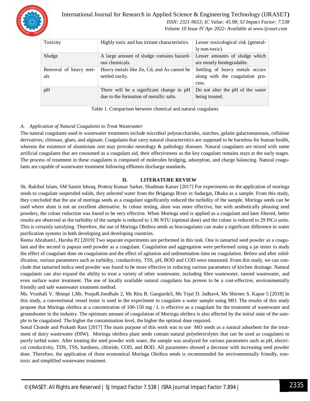

International Journal for Research in Applied Science & Engineering Technology (IJRASET**)**  *ISSN: 2321-9653; IC Value: 45.98; SJ Impact Factor: 7.538 Volume 10 Issue IV Apr 2022- Available at www.ijraset.com*

| Toxicity              | Highly toxic and has irritant characteristics. | Lesser toxicological risk (general- |
|-----------------------|------------------------------------------------|-------------------------------------|
|                       |                                                | ly non-toxic).                      |
| Sludge                | A large amount of sludge contains hazard-      | Lesser amounts of sludge which      |
|                       | ous chemicals.                                 | are mostly biodegradable.           |
| Removal of heavy met- | Heavy metals like Zn, Cd, and As cannot be     | Settling of heavy metals occurs     |
| als                   | settled easily.                                | along with the coagulation pro-     |
|                       |                                                | cess.                               |
| pH                    | There will be a significant change in pH       | Do not alter the pH of the water    |
|                       | due to the formation of metallic salts.        | being treated.                      |
|                       |                                                |                                     |

Table 1. Comparison between chemical and natural coagulants

#### *A. Application of Natural Coagulants to Treat Wastewater*

The natural coagulants used in wastewater treatments include microbial polysaccharides, starches, gelatin galactomannans, cellulose derivatives, chitosan, glues, and alginate. Coagulants that carry natural characteristics are supposed to be harmless for human health, whereas the existence of aluminium zest may provoke neurology & pathology diseases. Natural coagulants are mixed with some artificial coagulants that are consumed as a coagulant aid, their effectiveness as the key coagulant remains stays at the early stages. The process of treatment in these coagulants is composed of molecules bridging, adsorption, and charge balancing. Natural coagulants are capable of wastewater treatment following effluents discharge standards.

#### **II. LITERATURE REVIEW**

Sk. Rakibul Islam, SM Samin Ishraq, Prottoy Kumar Sarker, Shadman Kaiser [2017] For experiments on the application of moringa seeds to coagulate suspended solids, they selected water from the Briganga River in Sadargat, Dhaka as a sample. From this study, they concluded that the use of moringa seeds as a coagulant significantly reduced the turbidity of the sample. Moringa seeds can be used where alum is not an excellent alternative. In colour testing, alum was more effective, but with aesthetically pleasing seed powders, the colour reduction was found to be very effective. When Moringa seed is applied as a coagulant and later filtered, better results are observed as the turbidity of the sample is reduced to 1.96 NTU (optimal dose) and the colour is reduced to 29 PtCo units. This is certainly satisfying. Therefore, the use of Moringa Oleifera seeds as biocoagulants can make a significant difference in water purification systems in both developing and developing countries.

Reena Abraham1, Harsha P2 [2019] Two separate experiments are performed in this task. One is tamarind seed powder as a coagulant and the second is papaya seed powder as a coagulant. Coagulation and aggregation were performed using a jar tester to study the effect of coagulant dose on coagulation and the effect of agitation and sedimentation time on coagulation. Before and after solidification, various parameters such as turbidity, conductivity, TSS, pH, BOD and COD were measured. From this study, we can conclude that tamarind indica seed powder was found to be more effective in reducing various parameters of kitchen drainage. Natural coagulants can also expand the ability to treat a variety of other wastewater, including fibre wastewater, tanned wastewater, and even surface water treatment. The use of locally available natural coagulants has proven to be a cost-effective, environmentally friendly and safe wastewater treatment method.

Ms. Vrushali V. Shimpi 1,Ms. PoojaR.Jondhale 2, Ms Ritu B. Gangurde3, Ms Tejal D. Jadhav4, Ms Shireen S. Kapse 5 [2018] In this study, a conventional vessel tester is used in the experiment to coagulate a water sample using MO. The results of this study propose that Moringa oleifera at a concentration of 100-150 mg / L is effective as a coagulant for the treatment of wastewater and groundwater in the industry. The optimum amount of coagulation of Moringa oleifera is also affected by the initial state of the sample to be coagulated. The higher the contamination level, the higher the optimal dose required.

Sonal Chonde and Prakash Raut [2017] The main purpose of this work was to use MO seeds as a natural adsorbent for the treatment of dairy wastewater (DIW). Moringa oleifera plant seeds contain natural polyelectrolytes that can be used as coagulants to purify turbid water. After treating the seed powder with water, the sample was analyzed for various parameters such as pH, electrical conductivity, TDS, TSS, hardness, chloride, COD, and BOD. All parameters showed a decrease with increasing seed powder dose. Therefore, the application of these economical Moringa Oleifera seeds is recommended for environmentally friendly, nontoxic and simplified wastewater treatment.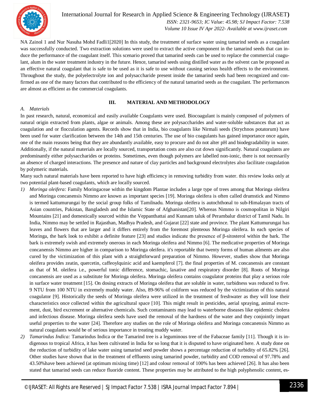

International Journal for Research in Applied Science & Engineering Technology (IJRASET**)**  *ISSN: 2321-9653; IC Value: 45.98; SJ Impact Factor: 7.538 Volume 10 Issue IV Apr 2022- Available at www.ijraset.com*

NA Zainol 1 and Nur Nasuha Mohd Fadli1[2020] In this study, the treatment of surface water using tamarind seeds as a coagulant was successfully conducted. Two extraction solutions were used to extract the active component in the tamarind seeds that can induce the performance of the coagulant itself. This scenario proved that tamarind seeds can be used to replace the commercial coagulant, alum in the water treatment industry in the future. Hence, tamarind seeds using distilled water as the solvent can be proposed as an effective natural coagulant that is safe to be used as it is safe to use without causing serious health effects to the environment. Throughout the study, the polyelectrolyte ion and polysaccharide present inside the tamarind seeds had been recognized and confirmed as one of the many factors that contributed to the efficiency of the natural tamarind seeds as the coagulant. The performances are almost as efficient as the commercial coagulants.

#### **III. MATERIAL AND METHODOLOGY**

#### *A. Materials*

In past research, natural, economical and easily available Coagulants were used. Biocoagulant is mainly composed of polymers of natural origin extracted from plants, algae or animals. Among these are polysaccharides and water-soluble substances that act as coagulation and or flocculation agents. Records show that in India, bio coagulants like Nirmali seeds (Strychnos potatorum) have been used for water clarification between the 14th and 15th centuries. The use of bio coagulants has gained importance once again, one of the main reasons being that they are abundantly available, easy to procure and do not alter pH and biodegradability in water. Additionally, if the natural materials are locally sourced, transportation costs are also cut down significantly. Natural coagulants are predominantly either polysaccharides or proteins. Sometimes, even though polymers are labelled non-ionic, there is not necessarily an absence of charged interactions. The presence and nature of clay particles and background electrolytes also facilitate coagulation by polymeric materials.

Many such natural materials have been reported to have high efficiency in removing turbidity from water. this review looks only at two potential plant-based coagulants, which are locally sourced.

- *1) Moringa oleifera:* Family Moringaceae within the kingdom Plantae includes a large type of trees among that Moringa oleifera and Moringa concanensis Nimmo are known as important species [19]. Moringa oleifera is often called drumstick and Nimmo is termed kattumurungai by the social group folks of Tamilnadu. Moringa oleifera is autochthonal to sub-Himalayan tracts of Asian countries, Pakistan, Bangladesh and the Islamic State of Afghanistan[20]. Whereas Nimmo is cosmopolitan in Nilgiri Mountains [21] and domestically sourced within the Veppanthattai and Kunnam taluk of Perambalur district of Tamil Nadu. In India, Nimmo may be settled in Rajasthan, Madhya Pradesh, and Gujarat [22] state and province. The plant Kattumurungai has leaves and flowers that are larger and it differs entirely from the foremost plenteous Moringa oleifera. In each species of Moringa, the bark look to exhibit a definite feature [23] and studies indicate the presence of β-sitosterol within the bark. The bark is extremely swish and extremely onerous in each Moringa oleifera and Nimmo [6]. The medicative properties of Moringa concanensis Nimmo are higher in comparison to Moringa oleifera. it's reportable that twenty forms of human ailments are also cured by the victimization of this plant with a straightforward preparation of Nimmo. However, studies show that Moringa oleifera provides zeatin, quercetin, caffeoylquinic acid and kaempferol [7]. the final properties of M. concanensis are constant as that of M. oleifera i.e., powerful tonic difference, stomachic, laxative and respiratory disorder [8]. Roots of Moringa concanensis are used as a substitute for Moringa oleifera. Moringa oleifera contains coagulator proteins that play a serious role in surface water treatment [15]. On dosing extracts of Moringa oleifera that are soluble in water, turbidness was reduced to five. 9 NTU from 100 NTU in extremely muddy water. Also, 89-96% of coliform was reduced by the victimization of this natural coagulator [9]. Historically the seeds of Moringa oleifera were utilized in the treatment of freshwater as they will lose their characteristics once collected within the agricultural space [10]. This might result in pesticides, aerial spraying, animal excrement, dust, bird excrement or alternative chemicals. Such contaminants may lead to waterborne diseases like epidemic cholera and infectious disease. Moringa oleifera seeds have used the removal of the hardness of the water and they conjointly impart useful properties to the water [24]. Therefore any studies on the role of Moringa oleifera and Moringa concanensis Nimmo as natural coagulants would be of serious importance in treating muddy water.
- *2) Tamarindus Indica:* Tamarindus Indica or the Tamarind tree is a leguminous tree of the Fabaceae family [11]. Though it is indigenous to tropical Africa, it has been cultivated in India for so long that it is disputed to have originated here. A study done on the reduction of turbidity of lake water using tamarind seed powder shows a percentage reduction of turbidity of 65.82% [26]. Other studies have shown that in the treatment of effluents using tamarind powder, turbidity and COD removal of 97.78% and 43.50%have been achieved (at optimum mixing time) [12] and colour removal of 100% has been achieved [26]. It has also been stated that tamarind seeds can reduce fluoride content. These properties may be attributed to the high polyphenolic content, es-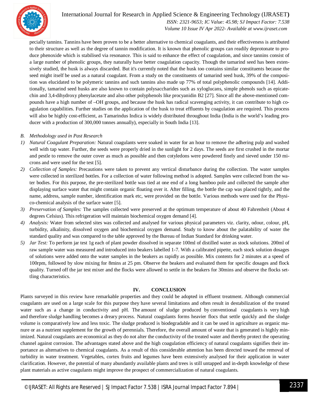

#### International Journal for Research in Applied Science & Engineering Technology (IJRASET**)**

 *ISSN: 2321-9653; IC Value: 45.98; SJ Impact Factor: 7.538 Volume 10 Issue IV Apr 2022- Available at www.ijraset.com*

pecially tannins. Tannins have been proven to be a better alternative to chemical coagulants, and their effectiveness is attributed to their structure as well as the degree of tannin modification. It is known that phenolic groups can readily deprotonate to produce phenoxide which is stabilised via resonance. This is said to enhance the effect of coagulation, and since tannins consist of a large number of phenolic groups, they naturally have better coagulation capacity. Though the tamarind seed has been extensively studied, the husk is always discarded. But it's currently noted that the husk too contains similar constituents because the seed might itself be used as a natural coagulant. From a study on the constituents of tamarind seed husk, 39% of the composition was elucidated to be polymeric tannins and such tannins also made up 77% of total polyphenolic compounds [14]. Additionally, tamarind seed husks are also known to contain polysaccharides such as xyloglucans, simple phenols such as epicatechin and 3,4-dihydroxy phenylacetate and also other polyphenols like procyanidin B2 [27]. Since all the above-mentioned compounds have a high number of –OH groups, and because the husk has radical scavenging activity, it can contribute to high coagulation capabilities. Further studies on the application of the husk to treat effluents by coagulation are required. This process will also be highly cost-efficient, as Tamarindus Indica is widely distributed throughout India (India is the world's leading producer with a production of 300,000 tonnes annually), especially in South India [13].

#### *B. Methodology used in Past Research*

- *1) Natural Coagulant Preparation:* Natural coagulants were soaked in water for an hour to remove the adhering pulp and washed well with tap water. Further, the seeds were properly dried in the sunlight for 2 days. The seeds are first crushed in the mortar and pestle to remove the outer cover as much as possible and then cotyledons were powdered finely and sieved under 150 microns and were used for the test [5].
- *2) Collection of Samples:* Precautions were taken to prevent any vertical disturbance during the collection. The water samples were collected in sterilized bottles. For a collection of water following method is adopted. Samples were collected from the water bodies. For this purpose, the pre-sterilized bottle was tied at one end of a long bamboo pole and collected the sample after displaying surface water that might contain organic floating over it. After filling, the bottle the cap was placed tightly, and the name, address, sample number, identification mark etc, were provided on the bottle. Various methods were used for the Physico-chemical analysis of the surface water [5].
- *3) Preservation of Samples:* The samples collected were preserved at the optimum temperature of about 40 Fahrenheit (About 4 degrees Celsius). This refrigeration will maintain biochemical oxygen demand [4].
- *4) Analysis:* Water from selected sites was collected and analysed for various physical parameters viz. clarity, odour, colour, pH, turbidity, alkalinity, dissolved oxygen and biochemical oxygen demand. Study to know about the palatability of water the standard quality and was compared to the table approved by the Bureau of Indian Standard for drinking water.
- *5) Jar Test:* To perform jar test 1g each of plant powder dissolved in separate 100ml of distilled water as stock solutions. 200ml of raw sample water was measured and introduced into beakers labelled 1-7. With a calibrated pipette, each stock solution dosages of solutions were added onto the water samples in the beakers as rapidly as possible. Mix contents for 2 minutes at a speed of 100rpm, followed by slow mixing for 8mins at 25 pm. Observe the beakers and evaluated them for specific dosages and flock quality. Turned off the jar test mixer and the flocks were allowed to settle in the beakers for 30mins and observe the flocks settling characteristics.

#### **IV. CONCLUSION**

Plants surveyed in this review have remarkable properties and they could be adopted in effluent treatment. Although commercial coagulants are used on a large scale for this purpose they have several limitations and often result in destabilization of the treated water such as a change in conductivity and pH. The amount of sludge produced by conventional coagulants is very high and therefore sludge handling becomes a dreary process. Natural coagulants forms heavier flocs that settle quickly and the sludge volume is comparatively low and less toxic. The sludge produced is biodegradable and it can be used in agriculture as organic manure or as a nutrient supplement for the growth of perennials. Therefore, the overall amount of waste that is generated is highly minimized. Natural coagulants are economical as they do not alter the conductivity of the treated water and thereby protect the operating channel against corrosion. The advantages stated above and the high coagulation efficiency of natural coagulants signifies their importance as alternatives to chemical coagulants. As a result of this considerable attention has been directed toward the removal of turbidity in water treatment. Vegetables, cortex fruits and legumes have been extensively analysed for their application in water clarification. However, the potential of many abundantly available plants and trees is still untapped and in-depth knowledge of these plant materials as active coagulants might improve the prospect of commercialization of natural coagulants.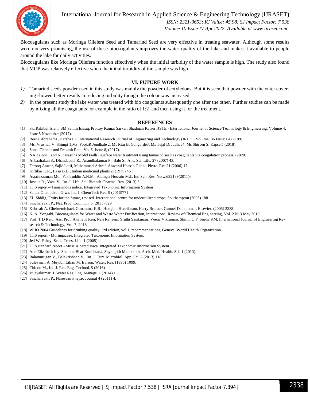

International Journal for Research in Applied Science & Engineering Technology (IJRASET**)**

 *ISSN: 2321-9653; IC Value: 45.98; SJ Impact Factor: 7.538 Volume 10 Issue IV Apr 2022- Available at www.ijraset.com*

Biocoagulants such as Moringa Oliefera Seed and Tamarind Seed are very effective in treating seawater. Although some results were not very promising, the use of these biocoagulants improves the water quality of the lake and makes it available to people around the lake for daily activities.

Biocoagulants like Moringa Oliefera function effectively when the initial turbidity of the water sample is high. The study also found that MOP was relatively effective when the initial turbidity of the sample was high.

#### **VI. FUTURE WORK**

- *1)* Tamarind seeds powder used in this study was mainly the powder of cotyledons. But it is seen that powder with the outer covering showed better results in reducing turbidity though the colour was increased.
- *2)* In the present study the lake water was treated with bio coagulants subsequently one after the other. Further studies can be made by mixing all the coagulants for example in the ratio of 1:2 and then using it for the treatment.

#### **REFERENCES**

- [1] Sk. Rakibul Islam, SM Samin Ishraq, Prottoy Kumar Sarker, Shadman Kaiser IJSTE International Journal of Science Technology & Engineering, Volume 4, Issue 5 November (2017).
- [2] Reena Abraham1, Harsha P2, International Research Journal of Engineering and Technology (IRJET) Volume: 06 Issue: 04 (2109).
- [3] Ms. Vrushali V. Shimpi 1,Ms. PoojaR.Jondhale 2, Ms Ritu B. Gangurde3, Ms Tejal D. Jadhav4, Ms Shireen S. Kapse 5 (2018).
- [4] Sonal Chonde and Prakash Raut, Vol 6, Issue 8, (2017).
- [5] NA Zainol 1 and Nur Nasuha Mohd Fadli1 surface water treatment using tamarind seed as coagulants via coagulation process, (2020).
- [6] Anbazhakan S., Dhandapani R., Anandhakumar P., Balu S., Anc. Sci. Life. 27 (2007) 43.
- [7] Farooq Anwar, Sajid Latif, Muhammad Ashraf, Anwarul Hassan Gilani, Phyto. Res.21 (2006) 17.
- [8] Kirtikar K.R., Basu B.D., Indian medicinal plants 27(1975) 46 .
- [9] Asrafuzzaman Md., Fakhruddin A.N.M., Alamgir Hossain Md., Int. Sch. Res. Netw.632189(2011)6.
- [10] Joshua R., Vasu V., Int. J. Life. Sci. Biotech. Pharma. Res. (2013) 6.
- [11] ITIS report Tamarindus indica. Integrated Taxonomic Information System
- [12] Saidat Olanipekun Giwa, Int. J. ChemTech Res. 9 (2016)771
- [13] EL-Siddig, Fruits for the future, revised. International centre for underutilized crops, Southampton (2006) 188
- [14] Sinchaiyakit P., Nat. Prod. Commun. 6 (2011) 829
- [15] Kebreab A. Ghebremichael, Gunaratna K.R., Hongbin Henriksson, Harry Brumer, Gunnel Dalhammar, Elsevier. (2005) 2338.
- [16] K. A. Yongabi, Biocoagulants for Water and Waste Water Purification, International Review of Chemical Engineering, Vol. 2 N. 3 May 2010.
- [17] Prof. T D Raju, Asst Prof. Ahana K Reji, Naji Raheem, Sruthi Sasikumar, Veena Vikraman, Shimil C P, Sneha KM, International Journal of Engineering Research & Technology, Vol. 7, 2018
- [18] WHO 2004 Guidelines for drinking quality, 3rd edition, vol.1, recommendations, Geneva, World Health Organization.
- [19] ITIS report Moringaceae. Integrated Taxonomic Information System.
- [20] Jed W. Fahey, Sc.d., Trees. Life. 1 (2005).
- [21] ITIS standard report Musa X paradisiaca. Integrated Taxonomic Information System.
- [22] Anu Elizabeth Joy, Shankar Bhat Kunhikatta, Shyamjith Manikkoth, Arch. Med. Health. Sci. 1 (2013).
- [23] Balamurugan V., Balakrishnan V., Int. J. Curr. Microbiol. App. Sci. 2 (2013) 118.
- [24] Suleyman A. Muyibi, Lilian M. Evison, Water. Res. (1995) 1099.
- [25] Chindu M., Int. J. Res. Eng. Technol. 5 (2016)
- [26] Vijayakumar, J. Water Res. Eng. Manage. 1 (2014) 1
- [27] Sinchaiyakit P., Naresuan Phayao Journal 4 (2011) 4.